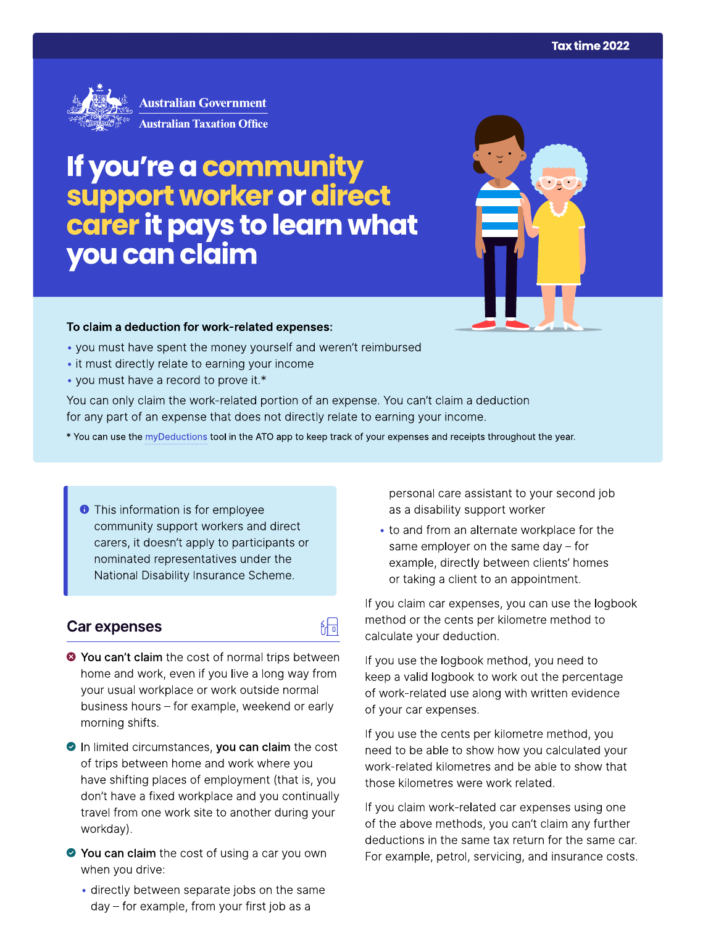

# If you're a community support worker or direct<br>carer it pays to learn what you can claim



### To claim a deduction for work-related expenses:

- . you must have spent the money yourself and weren't reimbursed
- it must directly relate to earning your income
- you must have a record to prove it.\*

You can only claim the work-related portion of an expense. You can't claim a deduction for any part of an expense that does not directly relate to earning your income.

- \* You can use the myDeductions tool in the ATO app to keep track of your expenses and receipts throughout the year.
	- **This information is for employee** community support workers and direct carers, it doesn't apply to participants or nominated representatives under the National Disability Insurance Scheme.

## Car expenses

- 陆 <sup>●</sup> You can't claim the cost of normal trips between home and work, even if you live a long way from your usual workplace or work outside normal
- business hours for example, weekend or early morning shifts.
- In limited circumstances, you can claim the cost of trips between home and work where you have shifting places of employment (that is, you don't have a fixed workplace and you continually travel from one work site to another during your workday).
- ◆ You can claim the cost of using a car you own when you drive:
	- directly between separate jobs on the same day - for example, from your first job as a

personal care assistant to your second job as a disability support worker

• to and from an alternate workplace for the same employer on the same day  $-$  for example, directly between clients' homes or taking a client to an appointment.

If you claim car expenses, you can use the logbook method or the cents per kilometre method to calculate your deduction.

If you use the logbook method, you need to keep a valid logbook to work out the percentage of work-related use along with written evidence of your car expenses.

If you use the cents per kilometre method, you need to be able to show how you calculated your work-related kilometres and be able to show that those kilometres were work related.

If you claim work-related car expenses using one of the above methods, you can't claim any further deductions in the same tax return for the same car. For example, petrol, servicing, and insurance costs.